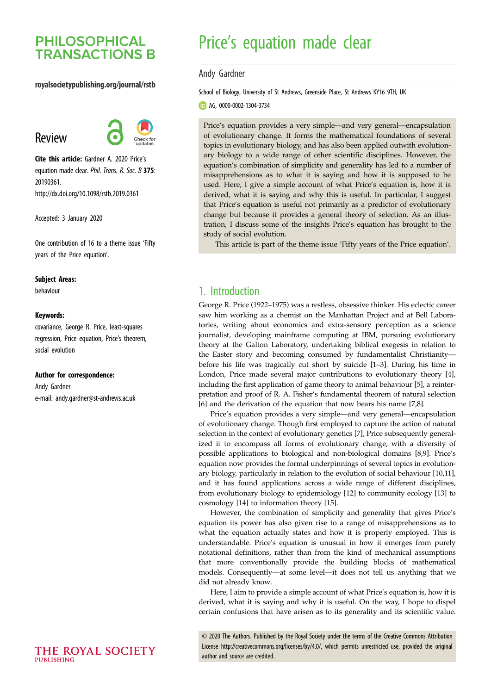# **PHILOSOPHICAL TRANSACTIONS B**

## royalsocietypublishing.org/journal/rstb

# Review



Cite this article: Gardner A. 2020 Price's equation made clear. Phil. Trans. R. Soc. B 375: 20190361. http://dx.doi.org/10.1098/rstb.2019.0361

Accepted: 3 January 2020

One contribution of 16 to a theme issue '[Fifty](http://dx.doi.org/10.1098/rstb/375/1797) [years of the Price equation](http://dx.doi.org/10.1098/rstb/375/1797)'.

#### Subject Areas:

behaviour

#### Keywords:

covariance, George R. Price, least-squares regression, Price equation, Price's theorem, social evolution

#### Author for correspondence:

Andy Gardner e-mail: [andy.gardner@st-andrews.ac.uk](mailto:andy.gardner@st-andrews.ac.uk)

# Price's equation made clear

#### Andy Gardner

School of Biology, University of St Andrews, Greenside Place, St Andrews KY16 9TH, UK

**b** AG, [0000-0002-1304-3734](http://orcid.org/0000-0002-1304-3734)

Price's equation provides a very simple—and very general—encapsulation of evolutionary change. It forms the mathematical foundations of several topics in evolutionary biology, and has also been applied outwith evolutionary biology to a wide range of other scientific disciplines. However, the equation's combination of simplicity and generality has led to a number of misapprehensions as to what it is saying and how it is supposed to be used. Here, I give a simple account of what Price's equation is, how it is derived, what it is saying and why this is useful. In particular, I suggest that Price's equation is useful not primarily as a predictor of evolutionary change but because it provides a general theory of selection. As an illustration, I discuss some of the insights Price's equation has brought to the study of social evolution.

This article is part of the theme issue 'Fifty years of the Price equation'.

# 1. Introduction

George R. Price (1922–1975) was a restless, obsessive thinker. His eclectic career saw him working as a chemist on the Manhattan Project and at Bell Laboratories, writing about economics and extra-sensory perception as a science journalist, developing mainframe computing at IBM, pursuing evolutionary theory at the Galton Laboratory, undertaking biblical exegesis in relation to the Easter story and becoming consumed by fundamentalist Christianity before his life was tragically cut short by suicide [\[1](#page-6-0)–[3\]](#page-6-0). During his time in London, Price made several major contributions to evolutionary theory [\[4\]](#page-6-0), including the first application of game theory to animal behaviour [\[5\]](#page-6-0), a reinterpretation and proof of R. A. Fisher's fundamental theorem of natural selection [[6](#page-6-0)] and the derivation of the equation that now bears his name [[7](#page-6-0),[8](#page-6-0)].

Price's equation provides a very simple—and very general—encapsulation of evolutionary change. Though first employed to capture the action of natural selection in the context of evolutionary genetics [[7](#page-6-0)], Price subsequently generalized it to encompass all forms of evolutionary change, with a diversity of possible applications to biological and non-biological domains [\[8,9](#page-6-0)]. Price's equation now provides the formal underpinnings of several topics in evolutionary biology, particularly in relation to the evolution of social behaviour [[10,11\]](#page-6-0), and it has found applications across a wide range of different disciplines, from evolutionary biology to epidemiology [[12\]](#page-6-0) to community ecology [\[13](#page-6-0)] to cosmology [\[14](#page-6-0)] to information theory [\[15](#page-6-0)].

However, the combination of simplicity and generality that gives Price's equation its power has also given rise to a range of misapprehensions as to what the equation actually states and how it is properly employed. This is understandable. Price's equation is unusual in how it emerges from purely notational definitions, rather than from the kind of mechanical assumptions that more conventionally provide the building blocks of mathematical models. Consequently—at some level—it does not tell us anything that we did not already know.

Here, I aim to provide a simple account of what Price's equation is, how it is derived, what it is saying and why it is useful. On the way, I hope to dispel certain confusions that have arisen as to its generality and its scientific value.

© 2020 The Authors. Published by the Royal Society under the terms of the Creative Commons Attribution License<http://creativecommons.org/licenses/by/4.0/>, which permits unrestricted use, provided the original author and source are credited.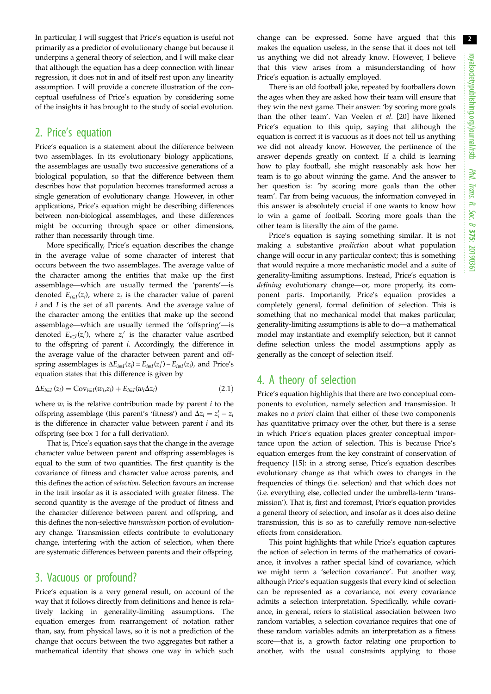In particular, I will suggest that Price's equation is useful not primarily as a predictor of evolutionary change but because it underpins a general theory of selection, and I will make clear that although the equation has a deep connection with linear regression, it does not in and of itself rest upon any linearity assumption. I will provide a concrete illustration of the conceptual usefulness of Price's equation by considering some of the insights it has brought to the study of social evolution.

# 2. Price's equation

Price's equation is a statement about the difference between two assemblages. In its evolutionary biology applications, the assemblages are usually two successive generations of a biological population, so that the difference between them describes how that population becomes transformed across a single generation of evolutionary change. However, in other applications, Price's equation might be describing differences between non-biological assemblages, and these differences might be occurring through space or other dimensions, rather than necessarily through time.

More specifically, Price's equation describes the change in the average value of some character of interest that occurs between the two assemblages. The average value of the character among the entities that make up the first assemblage—which are usually termed the 'parents'—is denoted  $E_{i\in I}(z_i)$ , where  $z_i$  is the character value of parent  $i$  and  $I$  is the set of all parents. And the average value of the character among the entities that make up the second assemblage—which are usually termed the 'offspring'—is denoted  $E_{i\in I}(z_i')$ , where  $z_i'$  is the character value ascribed to the offspring of parent i. Accordingly, the difference in the average value of the character between parent and offspring assemblages is  $\Delta E_{i\in I}(z_i) = E_{i\in I}(z_i') - E_{i\in I}(z_i)$ , and Price's equation states that this difference is given by

$$
\Delta E_{i\in I}(z_i) = \text{Cov}_{i\in I}(w_i, z_i) + E_{i\in I}(w_i \Delta z_i)
$$
\n(2.1)

where  $w_i$  is the relative contribution made by parent i to the offspring assemblage (this parent's 'fitness') and  $\Delta z_i = z'_i - z_i$ is the difference in character value between parent  $i$  and its offspring (see [box 1](#page-2-0) for a full derivation).

That is, Price's equation says that the change in the average character value between parent and offspring assemblages is equal to the sum of two quantities. The first quantity is the covariance of fitness and character value across parents, and this defines the action of selection. Selection favours an increase in the trait insofar as it is associated with greater fitness. The second quantity is the average of the product of fitness and the character difference between parent and offspring, and this defines the non-selective transmission portion of evolutionary change. Transmission effects contribute to evolutionary change, interfering with the action of selection, when there are systematic differences between parents and their offspring.

## 3. Vacuous or profound?

Price's equation is a very general result, on account of the way that it follows directly from definitions and hence is relatively lacking in generality-limiting assumptions. The equation emerges from rearrangement of notation rather than, say, from physical laws, so it is not a prediction of the change that occurs between the two aggregates but rather a mathematical identity that shows one way in which such

change can be expressed. Some have argued that this makes the equation useless, in the sense that it does not tell us anything we did not already know. However, I believe that this view arises from a misunderstanding of how Price's equation is actually employed.

There is an old football joke, repeated by footballers down the ages when they are asked how their team will ensure that they win the next game. Their answer: 'by scoring more goals than the other team'. Van Veelen et al. [\[20](#page-6-0)] have likened Price's equation to this quip, saying that although the equation is correct it is vacuous as it does not tell us anything we did not already know. However, the pertinence of the answer depends greatly on context. If a child is learning how to play football, she might reasonably ask how her team is to go about winning the game. And the answer to her question is: 'by scoring more goals than the other team'. Far from being vacuous, the information conveyed in this answer is absolutely crucial if one wants to know how to win a game of football. Scoring more goals than the other team is literally the aim of the game.

Price's equation is saying something similar. It is not making a substantive prediction about what population change will occur in any particular context; this is something that would require a more mechanistic model and a suite of generality-limiting assumptions. Instead, Price's equation is defining evolutionary change—or, more properly, its component parts. Importantly, Price's equation provides a completely general, formal definition of selection. This is something that no mechanical model that makes particular, generality-limiting assumptions is able to do—a mathematical model may instantiate and exemplify selection, but it cannot define selection unless the model assumptions apply as generally as the concept of selection itself.

# 4. A theory of selection

Price's equation highlights that there are two conceptual components to evolution, namely selection and transmission. It makes no a priori claim that either of these two components has quantitative primacy over the other, but there is a sense in which Price's equation places greater conceptual importance upon the action of selection. This is because Price's equation emerges from the key constraint of conservation of frequency [[15\]](#page-6-0): in a strong sense, Price's equation describes evolutionary change as that which owes to changes in the frequencies of things (i.e. selection) and that which does not (i.e. everything else, collected under the umbrella-term 'transmission'). That is, first and foremost, Price's equation provides a general theory of selection, and insofar as it does also define transmission, this is so as to carefully remove non-selective effects from consideration.

This point highlights that while Price's equation captures the action of selection in terms of the mathematics of covariance, it involves a rather special kind of covariance, which we might term a 'selection covariance'. Put another way, although Price's equation suggests that every kind of selection can be represented as a covariance, not every covariance admits a selection interpretation. Specifically, while covariance, in general, refers to statistical association between two random variables, a selection covariance requires that one of these random variables admits an interpretation as a fitness score—that is, a growth factor relating one proportion to another, with the usual constraints applying to those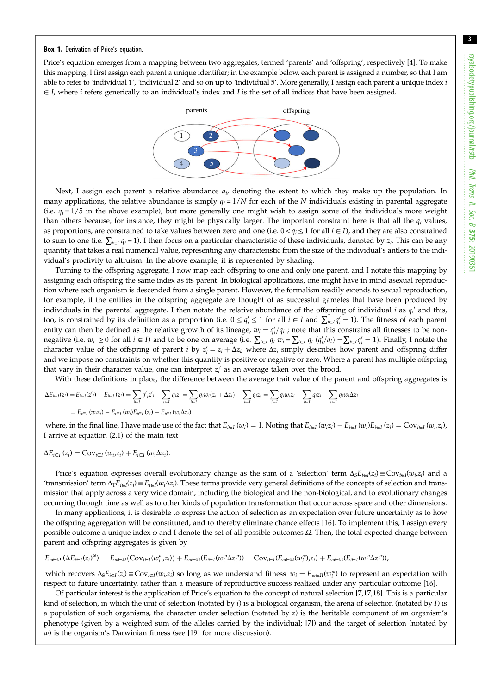#### <span id="page-2-0"></span>Box 1. Derivation of Price's equation.

Price's equation emerges from a mapping between two aggregates, termed 'parents' and 'offspring', respectively [[4](#page-6-0)]. To make this mapping, I first assign each parent a unique identifier; in the example below, each parent is assigned a number, so that I am able to refer to 'individual 1', 'individual 2' and so on up to 'individual 5'. More generally, I assign each parent a unique index  $i$  $\in I$ , where *i* refers generically to an individual's index and *I* is the set of all indices that have been assigned.



Next, I assign each parent a relative abundance  $q_i$ , denoting the extent to which they make up the population. In many applications, the relative abundance is simply  $q_i = 1/N$  for each of the N individuals existing in parental aggregate (i.e.  $q_i = 1/5$  in the above example), but more generally one might wish to assign some of the individuals more weight than others because, for instance, they might be physically larger. The important constraint here is that all the  $q_i$  values, as proportions, are constrained to take values between zero and one (i.e.  $0 < q_i \le 1$  for all  $i \in I$ ), and they are also constrained to sum to one (i.e.  $\sum_{i\in I} q_i = 1$ ). I then focus on a particular characteristic of these individuals, denoted by  $z_i$ . This can be any quantity that takes a real numerical value, representing any characteristic from the size of the individual's antlers to the individual's proclivity to altruism. In the above example, it is represented by shading.

Turning to the offspring aggregate, I now map each offspring to one and only one parent, and I notate this mapping by assigning each offspring the same index as its parent. In biological applications, one might have in mind asexual reproduction where each organism is descended from a single parent. However, the formalism readily extends to sexual reproduction, for example, if the entities in the offspring aggregate are thought of as successful gametes that have been produced by individuals in the parental aggregate. I then notate the relative abundance of the offspring of individual *i* as  $q_i'$  and this, too, is constrained by its definition as a proportion (i.e.  $0 \leq q'_i \leq 1$  for all  $i \in I$  and  $\sum_{i \in I} q'_i = 1$ ). The fitness of each parent entity can then be defined as the relative growth of its lineage,  $w_i = q_i'/q_i$  ; note that this constrains all fitnesses to be nonnegative (i.e.  $w_i \geq 0$  for all  $i \in I$ ) and to be one on average (i.e.  $\sum_{i \in I} q_i w_i = \sum_{i \in I} q_i (q'_i/q_i) = \sum_{i \in I} q'_i = 1$ ). Finally, I notate the character value of the offspring of parent *i* by  $z'_i = z_i + \Delta z_i$ , where  $\Delta z_i$  simply describes how parent and offspring differ and we impose no constraints on whether this quantity is positive or negative or zero. Where a parent has multiple offspring that vary in their character value, one can interpret  $z_i'$  as an average taken over the brood.

With these definitions in place, the difference between the average trait value of the parent and offspring aggregates is

$$
\Delta E_{i\in I}(z_i) = E_{i\in I}(z'_i) - E_{i\in I}(z_i) = \sum_{i\in I} q'_i z'_i - \sum_{i\in I} q_i z_i = \sum_{i\in I} q_i w_i (z_i + \Delta z_i) - \sum_{i\in I} q_i z_i = \sum_{i\in I} q_i w_i z_i - \sum_{i\in I} q_i z_i + \sum_{i\in I} q_i w_i \Delta z_i
$$
  
=  $E_{i\in I}(w_i z_i) - E_{i\in I}(w_i) E_{i\in I}(z_i) + E_{i\in I}(w_i \Delta z_i)$ 

where, in the final line, I have made use of the fact that  $E_{i\in I}(w_i)=1$ . Noting that  $E_{i\in I}(w_iz_i)-E_{i\in I}(w_i)E_{i\in I}(z_i)=Cov_{i\in I}(w_i,z_i)$ I arrive at equation (2.1) of the main text

$$
\Delta E_{i\in I}(z_i) = \text{Cov}_{i\in I}(w_i,z_i) + E_{i\in I}(w_i\Delta z_i).
$$

Price's equation expresses overall evolutionary change as the sum of a 'selection' term  $\Delta_S E_{i\in I}(z_i) \equiv \text{Cov}_{i\in I}(w_i,z_i)$  and a 'transmission' term  $\Delta_T E_{i\in I}(z_i) \equiv E_{i\in I}(w_i\Delta z_i)$ . These terms provide very general definitions of the concepts of selection and transmission that apply across a very wide domain, including the biological and the non-biological, and to evolutionary changes occurring through time as well as to other kinds of population transformation that occur across space and other dimensions.

In many applications, it is desirable to express the action of selection as an expectation over future uncertainty as to how the offspring aggregation will be constituted, and to thereby eliminate chance effects [\[16](#page-6-0)]. To implement this, I assign every possible outcome a unique index  $\omega$  and I denote the set of all possible outcomes  $\Omega$ . Then, the total expected change between parent and offspring aggregates is given by

$$
E_{\omega \in \Omega} (\Delta E_{i \in I}(z_i)^{\omega}) = E_{\omega \in \Omega} (Cov_{i \in I}(w_i^{\omega}, z_i)) + E_{\omega \in \Omega} (E_{i \in I}(w_i^{\omega} \Delta z_i^{\omega})) = Cov_{i \in I}(E_{\omega \in \Omega}(w_i^{\omega})z_i) + E_{\omega \in \Omega} (E_{i \in I}(w_i^{\omega} \Delta z_i^{\omega})),
$$

which recovers  $\Delta_S E_{i\in I}(z_i) \equiv \text{Cov}_{i\in I}(w_i,z_i)$  so long as we understand fitness  $w_i = E_{\omega \in \Omega}(w_i^{\omega})$  to represent an expectation with respect to future uncertainty, rather than a measure of reproductive success realized under any particular outcome [\[16](#page-6-0)].

Of particular interest is the application of Price's equation to the concept of natural selection [\[7,17,18](#page-6-0)]. This is a particular kind of selection, in which the unit of selection (notated by  $i$ ) is a biological organism, the arena of selection (notated by  $I$ ) is a population of such organisms, the character under selection (notated by z) is the heritable component of an organism's phenotype (given by a weighted sum of the alleles carried by the individual; [\[7\]](#page-6-0)) and the target of selection (notated by w) is the organism's Darwinian fitness (see [\[19](#page-6-0)] for more discussion).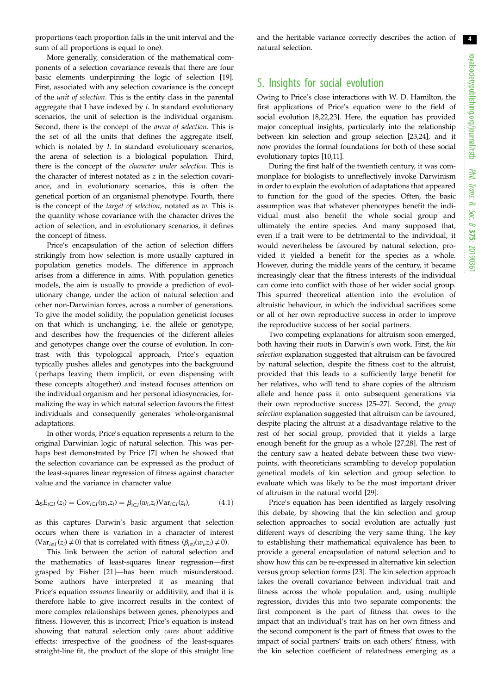proportions (each proportion falls in the unit interval and the sum of all proportions is equal to one).

More generally, consideration of the mathematical components of a selection covariance reveals that there are four basic elements underpinning the logic of selection [\[19](#page-6-0)]. First, associated with any selection covariance is the concept of the unit of selection. This is the entity class in the parental aggregate that I have indexed by  $i$ . In standard evolutionary scenarios, the unit of selection is the individual organism. Second, there is the concept of the arena of selection. This is the set of all the units that defines the aggregate itself, which is notated by I. In standard evolutionary scenarios, the arena of selection is a biological population. Third, there is the concept of the character under selection. This is the character of interest notated as z in the selection covariance, and in evolutionary scenarios, this is often the genetical portion of an organismal phenotype. Fourth, there is the concept of the *target of selection*, notated as  $w$ . This is the quantity whose covariance with the character drives the action of selection, and in evolutionary scenarios, it defines the concept of fitness.

Price's encapsulation of the action of selection differs strikingly from how selection is more usually captured in population genetics models. The difference in approach arises from a difference in aims. With population genetics models, the aim is usually to provide a prediction of evolutionary change, under the action of natural selection and other non-Darwinian forces, across a number of generations. To give the model solidity, the population geneticist focuses on that which is unchanging, i.e. the allele or genotype, and describes how the frequencies of the different alleles and genotypes change over the course of evolution. In contrast with this typological approach, Price's equation typically pushes alleles and genotypes into the background (perhaps leaving them implicit, or even dispensing with these concepts altogether) and instead focuses attention on the individual organism and her personal idiosyncracies, formalizing the way in which natural selection favours the fittest individuals and consequently generates whole-organismal adaptations.

In other words, Price's equation represents a return to the original Darwinian logic of natural selection. This was perhaps best demonstrated by Price [\[7\]](#page-6-0) when he showed that the selection covariance can be expressed as the product of the least-squares linear regression of fitness against character value and the variance in character value

$$
\Delta_{S}E_{i\in I}(z_i) = \text{Cov}_{i\in I}(w_i, z_i) = \beta_{i\in I}(w_i, z_i) \text{Var}_{i\in I}(z_i),\tag{4.1}
$$

as this captures Darwin's basic argument that selection occurs when there is variation in a character of interest  $(Var_{i\in I}(z_i) \neq 0)$  that is correlated with fitness  $(\beta_{i\in I}(w_i,z_i) \neq 0)$ .

This link between the action of natural selection and the mathematics of least-squares linear regression—first grasped by Fisher [[21\]](#page-6-0)—has been much misunderstood. Some authors have interpreted it as meaning that Price's equation assumes linearity or additivity, and that it is therefore liable to give incorrect results in the context of more complex relationships between genes, phenotypes and fitness. However, this is incorrect; Price's equation is instead showing that natural selection only cares about additive effects: irrespective of the goodness of the least-squares straight-line fit, the product of the slope of this straight line and the heritable variance correctly describes the action of natural selection.

# 5. Insights for social evolution

Owing to Price's close interactions with W. D. Hamilton, the first applications of Price's equation were to the field of social evolution [\[8,22,23\]](#page-6-0). Here, the equation has provided major conceptual insights, particularly into the relationship between kin selection and group selection [[23,24\]](#page-6-0), and it now provides the formal foundations for both of these social evolutionary topics [[10,11](#page-6-0)].

During the first half of the twentieth century, it was commonplace for biologists to unreflectively invoke Darwinism in order to explain the evolution of adaptations that appeared to function for the good of the species. Often, the basic assumption was that whatever phenotypes benefit the individual must also benefit the whole social group and ultimately the entire species. And many supposed that, even if a trait were to be detrimental to the individual, it would nevertheless be favoured by natural selection, provided it yielded a benefit for the species as a whole. However, during the middle years of the century, it became increasingly clear that the fitness interests of the individual can come into conflict with those of her wider social group. This spurred theoretical attention into the evolution of altruistic behaviour, in which the individual sacrifices some or all of her own reproductive success in order to improve the reproductive success of her social partners.

Two competing explanations for altruism soon emerged, both having their roots in Darwin's own work. First, the kin selection explanation suggested that altruism can be favoured by natural selection, despite the fitness cost to the altruist, provided that this leads to a sufficiently large benefit for her relatives, who will tend to share copies of the altruism allele and hence pass it onto subsequent generations via their own reproductive success [\[25](#page-6-0)–[27\]](#page-6-0). Second, the group selection explanation suggested that altruism can be favoured, despite placing the altruist at a disadvantage relative to the rest of her social group, provided that it yields a large enough benefit for the group as a whole [\[27,28](#page-6-0)]. The rest of the century saw a heated debate between these two viewpoints, with theoreticians scrambling to develop population genetical models of kin selection and group selection to evaluate which was likely to be the most important driver of altruism in the natural world [\[29](#page-6-0)].

Price's equation has been identified as largely resolving this debate, by showing that the kin selection and group selection approaches to social evolution are actually just different ways of describing the very same thing. The key to establishing their mathematical equivalence has been to provide a general encapsulation of natural selection and to show how this can be re-expressed in alternative kin selection versus group selection forms [[23\]](#page-6-0). The kin selection approach takes the overall covariance between individual trait and fitness across the whole population and, using multiple regression, divides this into two separate components: the first component is the part of fitness that owes to the impact that an individual's trait has on her own fitness and the second component is the part of fitness that owes to the impact of social partners' traits on each others' fitness, with the kin selection coefficient of relatedness emerging as a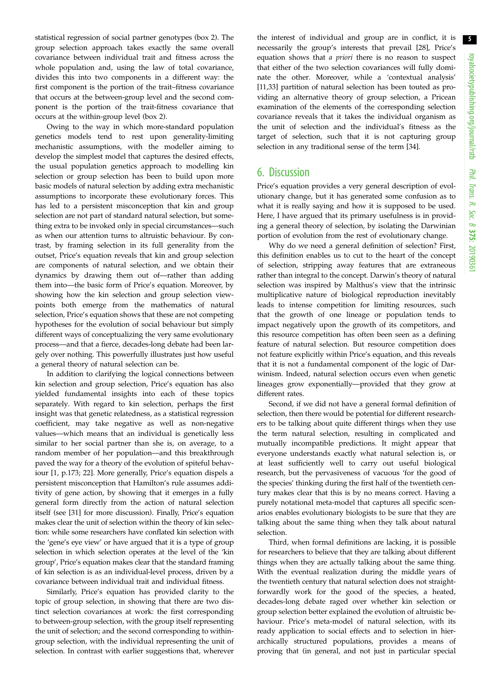statistical regression of social partner genotypes ([box 2\)](#page-5-0). The group selection approach takes exactly the same overall covariance between individual trait and fitness across the whole population and, using the law of total covariance, divides this into two components in a different way: the first component is the portion of the trait–fitness covariance that occurs at the between-group level and the second component is the portion of the trait-fitness covariance that occurs at the within-group level ([box 2\)](#page-5-0).

Owing to the way in which more-standard population genetics models tend to rest upon generality-limiting mechanistic assumptions, with the modeller aiming to develop the simplest model that captures the desired effects, the usual population genetics approach to modelling kin selection or group selection has been to build upon more basic models of natural selection by adding extra mechanistic assumptions to incorporate these evolutionary forces. This has led to a persistent misconception that kin and group selection are not part of standard natural selection, but something extra to be invoked only in special circumstances—such as when our attention turns to altruistic behaviour. By contrast, by framing selection in its full generality from the outset, Price's equation reveals that kin and group selection are components of natural selection, and we obtain their dynamics by drawing them out of—rather than adding them into—the basic form of Price's equation. Moreover, by showing how the kin selection and group selection viewpoints both emerge from the mathematics of natural selection, Price's equation shows that these are not competing hypotheses for the evolution of social behaviour but simply different ways of conceptualizing the very same evolutionary process—and that a fierce, decades-long debate had been largely over nothing. This powerfully illustrates just how useful a general theory of natural selection can be.

In addition to clarifying the logical connections between kin selection and group selection, Price's equation has also yielded fundamental insights into each of these topics separately. With regard to kin selection, perhaps the first insight was that genetic relatedness, as a statistical regression coefficient, may take negative as well as non-negative values—which means that an individual is genetically less similar to her social partner than she is, on average, to a random member of her population—and this breakthrough paved the way for a theory of the evolution of spiteful behaviour [[1](#page-6-0), p.173; [22\]](#page-6-0). More generally, Price's equation dispels a persistent misconception that Hamilton's rule assumes additivity of gene action, by showing that it emerges in a fully general form directly from the action of natural selection itself (see [\[31](#page-6-0)] for more discussion). Finally, Price's equation makes clear the unit of selection within the theory of kin selection: while some researchers have conflated kin selection with the 'gene's eye view' or have argued that it is a type of group selection in which selection operates at the level of the 'kin group', Price's equation makes clear that the standard framing of kin selection is as an individual-level process, driven by a covariance between individual trait and individual fitness.

Similarly, Price's equation has provided clarity to the topic of group selection, in showing that there are two distinct selection covariances at work: the first corresponding to between-group selection, with the group itself representing the unit of selection; and the second corresponding to withingroup selection, with the individual representing the unit of selection. In contrast with earlier suggestions that, wherever the interest of individual and group are in conflict, it is necessarily the group's interests that prevail [[28\]](#page-6-0), Price's equation shows that a priori there is no reason to suspect that either of the two selection covariances will fully dominate the other. Moreover, while a 'contextual analysis' [[11,33](#page-6-0)] partition of natural selection has been touted as providing an alternative theory of group selection, a Pricean examination of the elements of the corresponding selection covariance reveals that it takes the individual organism as the unit of selection and the individual's fitness as the target of selection, such that it is not capturing group selection in any traditional sense of the term [[34\]](#page-6-0).

# 6. Discussion

Price's equation provides a very general description of evolutionary change, but it has generated some confusion as to what it is really saying and how it is supposed to be used. Here, I have argued that its primary usefulness is in providing a general theory of selection, by isolating the Darwinian portion of evolution from the rest of evolutionary change.

Why do we need a general definition of selection? First, this definition enables us to cut to the heart of the concept of selection, stripping away features that are extraneous rather than integral to the concept. Darwin's theory of natural selection was inspired by Malthus's view that the intrinsic multiplicative nature of biological reproduction inevitably leads to intense competition for limiting resources, such that the growth of one lineage or population tends to impact negatively upon the growth of its competitors, and this resource competition has often been seen as a defining feature of natural selection. But resource competition does not feature explicitly within Price's equation, and this reveals that it is not a fundamental component of the logic of Darwinism. Indeed, natural selection occurs even when genetic lineages grow exponentially—provided that they grow at different rates.

Second, if we did not have a general formal definition of selection, then there would be potential for different researchers to be talking about quite different things when they use the term natural selection, resulting in complicated and mutually incompatible predictions. It might appear that everyone understands exactly what natural selection is, or at least sufficiently well to carry out useful biological research, but the pervasiveness of vacuous 'for the good of the species' thinking during the first half of the twentieth century makes clear that this is by no means correct. Having a purely notational meta-model that captures all specific scenarios enables evolutionary biologists to be sure that they are talking about the same thing when they talk about natural selection.

Third, when formal definitions are lacking, it is possible for researchers to believe that they are talking about different things when they are actually talking about the same thing. With the eventual realization during the middle years of the twentieth century that natural selection does not straightforwardly work for the good of the species, a heated, decades-long debate raged over whether kin selection or group selection better explained the evolution of altruistic behaviour. Price's meta-model of natural selection, with its ready application to social effects and to selection in hierarchically structured populations, provides a means of proving that (in general, and not just in particular special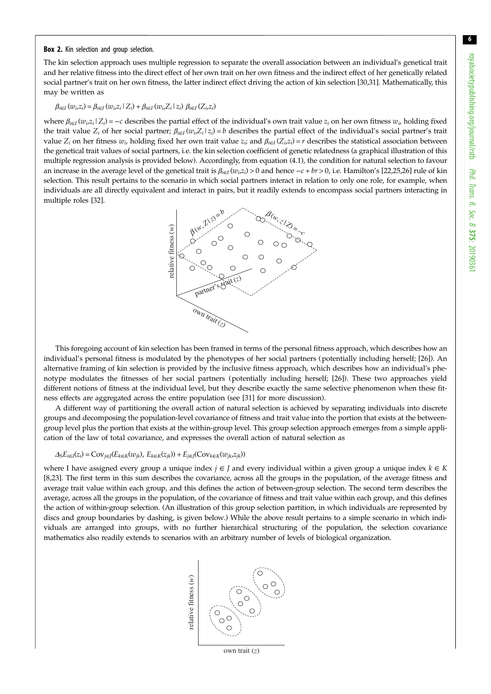#### <span id="page-5-0"></span>Box 2. Kin selection and group selection.

The kin selection approach uses multiple regression to separate the overall association between an individual's genetical trait and her relative fitness into the direct effect of her own trait on her own fitness and the indirect effect of her genetically related social partner's trait on her own fitness, the latter indirect effect driving the action of kin selection [\[30,31](#page-6-0)]. Mathematically, this may be written as

### $\beta_{i\in I}(w_i,z_i) = \beta_{i\in I}(w_i,z_i\mid Z_i) + \beta_{i\in I}(w_i,Z_i\mid z_i) \beta_{i\in I}(Z_i,z_i)$

where  $\beta_{i\in I}(w_i,z_i|Z_i) = -c$  describes the partial effect of the individual's own trait value  $z_i$  on her own fitness  $w_i$ , holding fixed the trait value  $Z_i$  of her social partner;  $\beta_{i\in I}(w_i, Z_i|z_i) = b$  describes the partial effect of the individual's social partner's trait value  $Z_i$  on her fitness  $w_i$ , holding fixed her own trait value  $z_i$ ; and  $\beta_{i\in I}(Z_i,z_i) = r$  describes the statistical association between the genetical trait values of social partners, i.e. the kin selection coefficient of genetic relatedness (a graphical illustration of this multiple regression analysis is provided below). Accordingly, from equation (4.1), the condition for natural selection to favour an increase in the average level of the genetical trait is  $\beta_{i\in I}(w_i,z_i) > 0$  and hence  $-c + br > 0$ , i.e. Hamilton's [\[22](#page-6-0),[25](#page-6-0),[26\]](#page-6-0) rule of kin selection. This result pertains to the scenario in which social partners interact in relation to only one role, for example, when individuals are all directly equivalent and interact in pairs, but it readily extends to encompass social partners interacting in multiple roles [\[32](#page-6-0)].



This foregoing account of kin selection has been framed in terms of the personal fitness approach, which describes how an individual's personal fitness is modulated by the phenotypes of her social partners (potentially including herself; [\[26](#page-6-0)]). An alternative framing of kin selection is provided by the inclusive fitness approach, which describes how an individual's phenotype modulates the fitnesses of her social partners (potentially including herself; [[26\]](#page-6-0)). These two approaches yield different notions of fitness at the individual level, but they describe exactly the same selective phenomenon when these fitness effects are aggregated across the entire population (see [[31\]](#page-6-0) for more discussion).

A different way of partitioning the overall action of natural selection is achieved by separating individuals into discrete groups and decomposing the population-level covariance of fitness and trait value into the portion that exists at the betweengroup level plus the portion that exists at the within-group level. This group selection approach emerges from a simple application of the law of total covariance, and expresses the overall action of natural selection as

#### $\Delta_S E_{i \in I}(z_i) = \text{Cov}_{j \in J}(E_{k \in K}(w_{jk}), E_{k \in K}(z_{jk})) + E_{j \in J}(\text{Cov}_{k \in K}(w_{jk}, z_{jk}))$

where I have assigned every group a unique index  $j \in J$  and every individual within a given group a unique index  $k \in K$ [[8](#page-6-0),[23\]](#page-6-0). The first term in this sum describes the covariance, across all the groups in the population, of the average fitness and average trait value within each group, and this defines the action of between-group selection. The second term describes the average, across all the groups in the population, of the covariance of fitness and trait value within each group, and this defines the action of within-group selection. (An illustration of this group selection partition, in which individuals are represented by discs and group boundaries by dashing, is given below.) While the above result pertains to a simple scenario in which individuals are arranged into groups, with no further hierarchical structuring of the population, the selection covariance mathematics also readily extends to scenarios with an arbitrary number of levels of biological organization.



own trait (*z*)